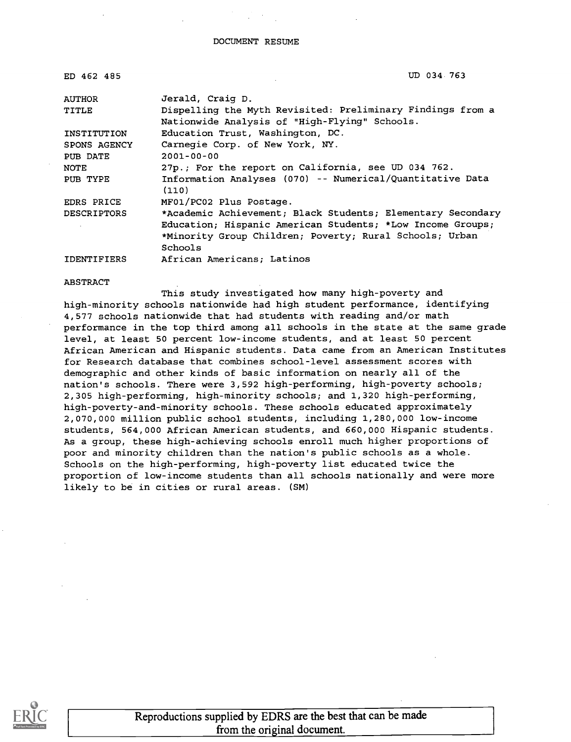| ED 462 485         | UD 034 763                                                         |
|--------------------|--------------------------------------------------------------------|
| <b>AUTHOR</b>      | Jerald, Craig D.                                                   |
| TITLE              | Dispelling the Myth Revisited: Preliminary Findings from a         |
|                    | Nationwide Analysis of "High-Flying" Schools.                      |
| INSTITUTION        | Education Trust, Washington, DC.                                   |
| SPONS AGENCY       | Carnegie Corp. of New York, NY.                                    |
| PUB DATE           | $2001 - 00 - 00$                                                   |
| <b>NOTE</b>        | 27p.; For the report on California, see UD 034 762.                |
| PUB TYPE           | Information Analyses (070) -- Numerical/Quantitative Data<br>(110) |
| EDRS PRICE         | MF01/PC02 Plus Postage.                                            |
| <b>DESCRIPTORS</b> | *Academic Achievement; Black Students; Elementary Secondary        |
|                    | Education; Hispanic American Students; *Low Income Groups;         |
|                    | *Minority Group Children; Poverty; Rural Schools; Urban            |
|                    | Schools                                                            |
| <b>IDENTIFIERS</b> | African Americans; Latinos                                         |

### ABSTRACT

This study investigated how many high-poverty and high-minority schools nationwide had high student performance, identifying 4,577 schools nationwide that had students with reading and/or math performance in the top third among all schools in the state at the same grade level, at least 50 percent low-income students, and at least 50 percent African American and Hispanic students. Data came from an American Institutes for Research database that combines school-level assessment scores with demographic and other kinds of basic information on nearly all of the nation's schools. There were 3,592 high-performing, high-poverty schools; 2,305 high-performing, high-minority schools; and 1,320 high-performing, high-poverty-and-minority schools. These schools educated approximately 2,070,000 million public school students, including 1,280,000 low-income students, 564,000 African American students, and 660,000 Hispanic students. As a group, these high-achieving schools enroll much higher proportions of poor and minority children than the nation's public schools as a whole. Schools on the high-performing, high-poverty list educated twice the proportion of low-income students than all schools nationally and were more likely to be in cities or rural areas. (SM)



Reproductions supplied by EDRS are the best that can be made from the original document.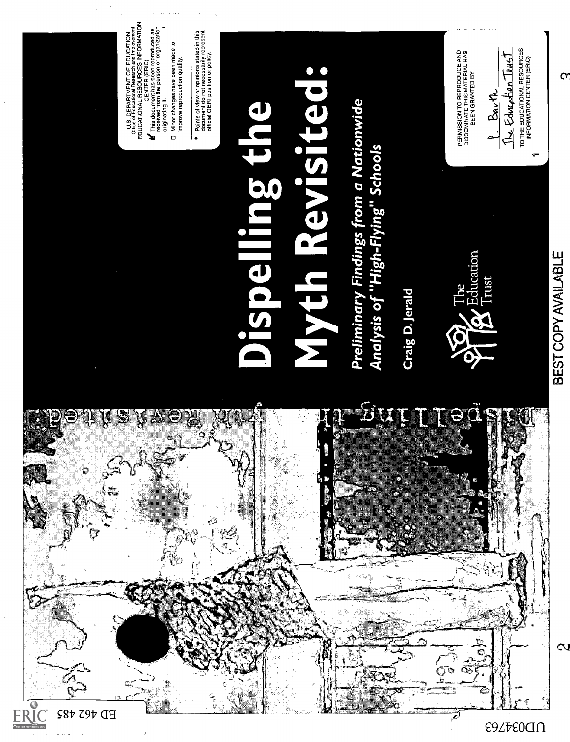

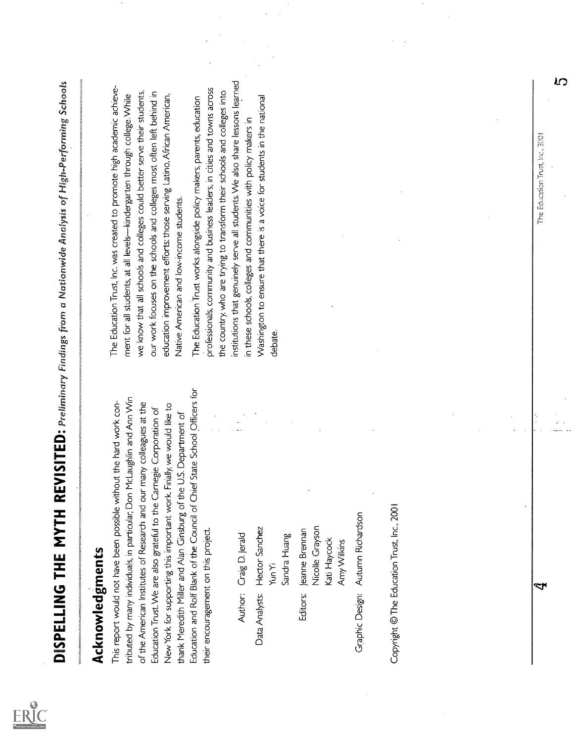**DISPELLING THE MYTHE REVISITED:** framing frame frame of the party of High-September School<br>The stress in the second state of the second of the second of the second of the second of the second state of<br>the stress in the s

 $\mathbf{r}$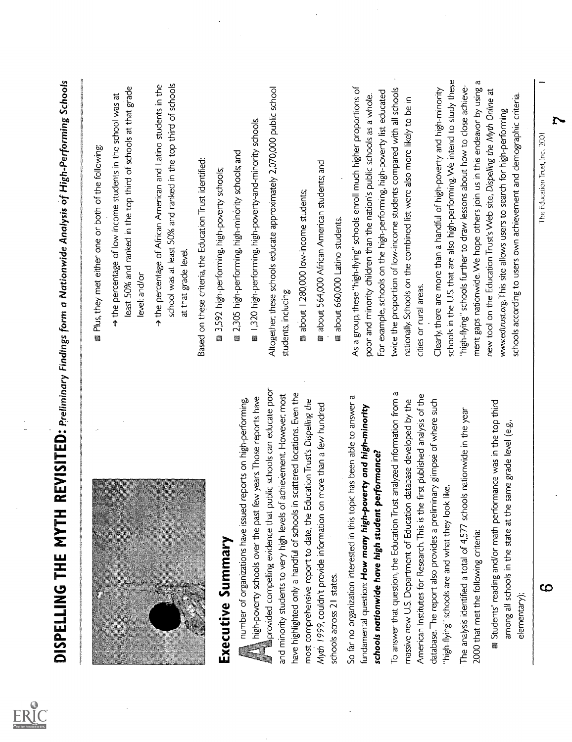|                                                                                                                                                                                                    | <b>Plus, they met either one or both of the following:</b>                                                                                                                                                                      |
|----------------------------------------------------------------------------------------------------------------------------------------------------------------------------------------------------|---------------------------------------------------------------------------------------------------------------------------------------------------------------------------------------------------------------------------------|
|                                                                                                                                                                                                    | least 50% and ranked in the top third of schools at that grade<br>A the percentage of low-income students in the school was at<br>level; and/or                                                                                 |
|                                                                                                                                                                                                    | school was at least 50% and ranked in the top third of schools<br>A the percentage of African American and Latino students in the<br>at that grade level.                                                                       |
|                                                                                                                                                                                                    | Based on these criteria, the Education Trust identified:                                                                                                                                                                        |
| Executive Summary                                                                                                                                                                                  | 3,592 high-performing, high-poverty schools;                                                                                                                                                                                    |
| number of organizations have issued reports on high-performing,                                                                                                                                    | 3305 high-performing, high-minority schools; and                                                                                                                                                                                |
| few years. Those reports have<br>high-poverty schools over the past                                                                                                                                | ■ 1,320 high-performing, high-poverty-and-minority schools.                                                                                                                                                                     |
| provided compelling evidence that public schools can educate poor<br>and minority students to very high levels of achievement. However, most                                                       | Altogether, these schools educate approximately 2,070,000 public school<br>students, including:                                                                                                                                 |
| have highlighted only a handful of schools in scattered locations. Even the<br>most comprehensive report to date, the Education Trust's Dispelling the                                             | about 1,280,000 low-income students;                                                                                                                                                                                            |
| Myth 1999, couldn't provide information on more than a few hundred<br>schools across 21 states.                                                                                                    | about 564,000 African American students; and                                                                                                                                                                                    |
|                                                                                                                                                                                                    | about 660,000 Latino students.                                                                                                                                                                                                  |
| So far no organization interested in this topic has been able to answer a<br>fundamental question: How many high-poverty and high-minority<br>performance?<br>schools nationwide have high student | As a group, these "high-flying" schools enroll much higher proportions of<br>For example, schools on the high-performing, high-poverty list educated<br>poor and minority children than the nation's public schools as a whole. |
| To answer that question, the Education Trust analyzed information from a                                                                                                                           | twice the proportion of low-income students compared with all schools                                                                                                                                                           |
| e first published analysis of the<br>massive new U.S. Department of Education database developed by the<br>American Institutes for Research. This is th                                            | nationally. Schools on the combined list were also more likely to be in<br>cities or rural areas.                                                                                                                               |
| database. The report also provides a preliminary glimpse of where such<br>"high-flying" schools are and what they look like.                                                                       | schools in the U.S. that are also high-performing. We intend to study these<br>Clearly, there are more than a handful of high-poverty and high-minority                                                                         |
| The analysis identified a total of 4,577 schools nationwide in the year                                                                                                                            | "high-flying" schools further to draw lessons about how to close achieve-                                                                                                                                                       |
| 2000 that met the following criteria:                                                                                                                                                              | ment gaps nationwide. We hope others join us in this endeavor by using a                                                                                                                                                        |
| Students' reading and/or math performance was in the top third<br>among all schools in the state at the same grade level (e.g.,                                                                    | new tool on the Education Trust's Web site, Dispelling the Myth Online at<br>www.edtrust.org. This site allows users to search for high-performing                                                                              |
| elementary);                                                                                                                                                                                       | schools according to users own achievement and demographic criteria.                                                                                                                                                            |
| ယ                                                                                                                                                                                                  | The Education Trust, Inc., 2001                                                                                                                                                                                                 |
|                                                                                                                                                                                                    |                                                                                                                                                                                                                                 |

 $\frac{1}{\sqrt{2}}$ 

 $\frac{1}{\sqrt{2}}$ 

 $\bar{z}$ 

 $\overline{\phantom{a}}$ 

d by ERIC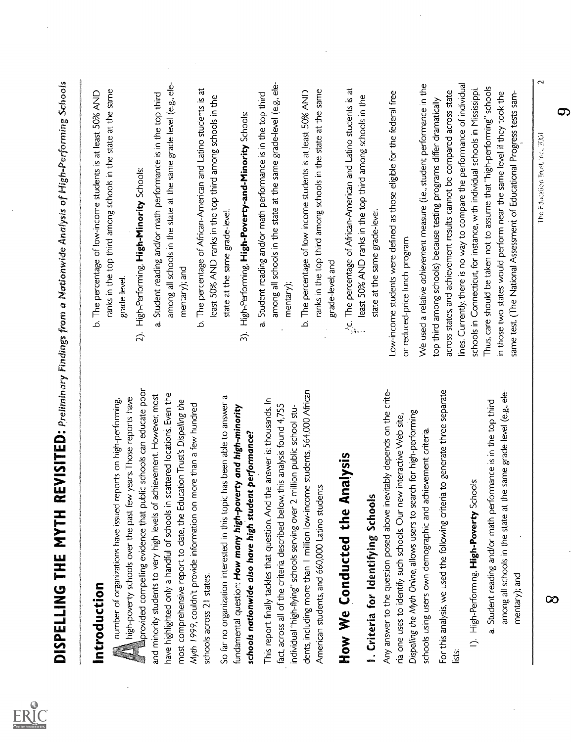| b. The percentage of low-income students is at least 50% AND                  |
|-------------------------------------------------------------------------------|
| ranks in the top third among schools in the state at the same                 |
|                                                                               |
|                                                                               |
| a. Student reading and/or math performance is in the top third                |
| among all schools in the state at the same grade-level (e.g., ele-            |
|                                                                               |
| b. The percentage of African-American and Latino students is at               |
| least 50% AND ranks in the top third among schools in the                     |
|                                                                               |
| 3). High-Performing, High-Poverty-and-Minority Schools:                       |
| a. Student reading and/or math performance is in the top third                |
| among all schools in the state at the same grade-level (e.g., ele-            |
|                                                                               |
| b. The percentage of low-income students is at least 50% AND                  |
| ranks in the top third among schools in the state at the same                 |
|                                                                               |
|                                                                               |
| least 50% AND ranks in the top third among schools in the                     |
|                                                                               |
| Low-income students were defined as those eligible for the federal free       |
|                                                                               |
|                                                                               |
| We used a relative achievement measure (i.e., student performance in the      |
| top third among schools) because testing programs differ dramatically         |
| across states, and achievement results cannot be compared across state        |
| lines. Currently, there is no way to compare the performance of individual    |
| schools in Connecticut, for instance, with individual schools in Mississippi. |
| Thus, care should be taken not to assume that "high-performing" schools       |
| in those two states would perform near the same level if they took the        |
| same test. (The National Assessment of Educational Progress tests sam-        |
| $\mathbf{\sim}$<br>The Education Trust, Inc., 2001                            |
| ౦                                                                             |
|                                                                               |

ER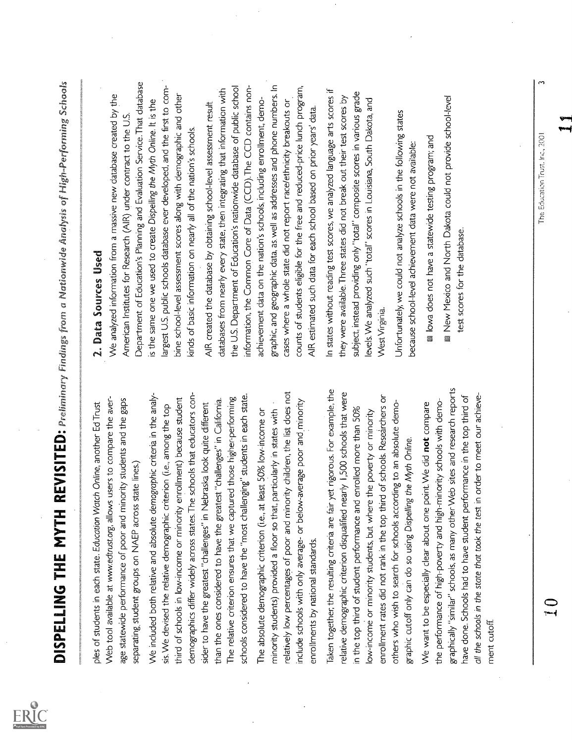**DISEELING THE MYTH REVISITED:** phalomage for a challengity of the signing short of the signing short of the signing short of the signing short of the signing short and short in the signing of the signing of the signing s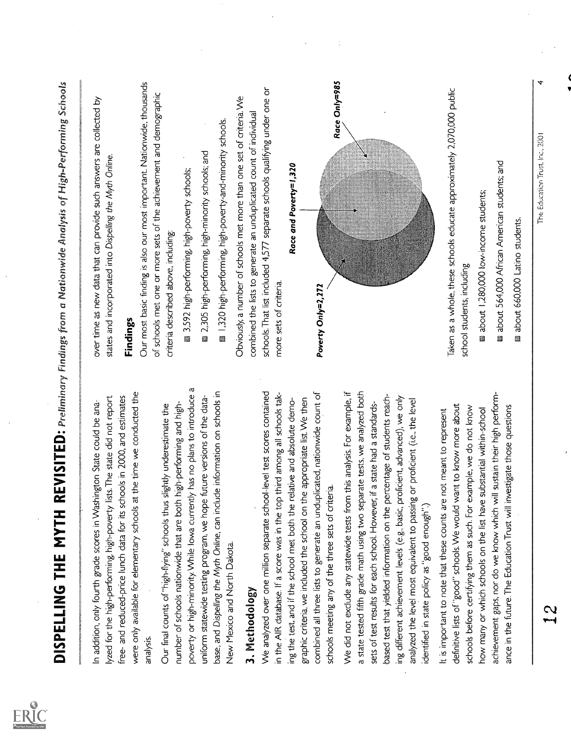| In addition, only fourth grade scores in Washington State could be ana-                                                                                  | over time as new data that can provide such answers are collected by       |
|----------------------------------------------------------------------------------------------------------------------------------------------------------|----------------------------------------------------------------------------|
| lyzed for the high-performing, high-poverty lists. The state did not report                                                                              | states and incorporated into Dispelling the Myth Online.                   |
| free- and reduced-price lunch data for its schools in 2000, and estimates                                                                                |                                                                            |
| were only available for elementary schools at the time we conducted the                                                                                  | Findings                                                                   |
| analysis.                                                                                                                                                | Our most basic finding is also our most important. Nationwide, thousands   |
|                                                                                                                                                          | of schools met one or more sets of the achievement and demographic         |
| number of schools nationwide that are both high-performing and high-<br>Our final counts of "high-flying" schools thus slightly underestimate the        | criteria described above, including:                                       |
| poverty or high-minority. While lowa currently has no plans to introduce a                                                                               | 2,592 high-performing, high-poverty schools;                               |
| uniform statewide testing program, we hope future versions of the data-                                                                                  | 2,305 high-performing, high-minority schools; and                          |
| base, and Dispelling the Myth Online, can include information on schools in                                                                              | ■ 1,320 high-performing, high-poverty-and-minority schools.                |
| New Mexico and North Dakota                                                                                                                              | Obviously, a number of schools met more than one set of criteria. We       |
| 3. Methodology                                                                                                                                           | combined the lists to generate an unduplicated count of individual         |
| We analyzed over one million separate school-level test scores contained                                                                                 | schools. That list included 4,577 separate schools qualifying under one or |
| in the AIR database. If a score was in the top third among all schools tak-                                                                              | more sets of criteria.                                                     |
| ing the test, and if the school met both the relative and absolute demo-                                                                                 | Race and Poverty=1,320                                                     |
| graphic criteria, we included the school on the appropriate list. We then                                                                                |                                                                            |
| combined all three lists to generate an unduplicated, nationwide count of                                                                                | Poverty Only=2,272                                                         |
| schools meeting any of the three sets of criteria.                                                                                                       | Race Only=985                                                              |
| We did not exclude any statewide tests from this analysis. For example, if                                                                               |                                                                            |
| a state tested fifth grade math using two separate tests, we analyzed both<br>sets of test results for each school. However, if a state had a standards- |                                                                            |
| based test that yielded information on the percentage of students reach-                                                                                 |                                                                            |
| ing different achievement levels (e.g., basic, proficient, advanced), we only                                                                            |                                                                            |
| analyzed the level most equivalent to passing or proficient (i.e., the level                                                                             |                                                                            |
| identified in state policy as "good enough"                                                                                                              |                                                                            |
| It is important to note that these counts are not meant to represent                                                                                     | Taken as a whole, these schools educate approximately 2,070,000 public     |
| definitive lists of "good" schools. We would want to know more about                                                                                     | school students, including                                                 |
| schools before certifying them as such. For example, we do not know                                                                                      |                                                                            |
| how many or which schools on the list have substantial within-school                                                                                     | about 1,280,000 low-income students;                                       |
| will sustain their high perform-<br>ance in the future. The Education Trust will investigate those questions<br>achievement gaps, nor do we know which   | about 564,000 African American students; and                               |
|                                                                                                                                                          | about 660,000 Latino students.                                             |
|                                                                                                                                                          |                                                                            |
| Z<br>بسب                                                                                                                                                 | The Education Trust, Inc., 2001                                            |
|                                                                                                                                                          |                                                                            |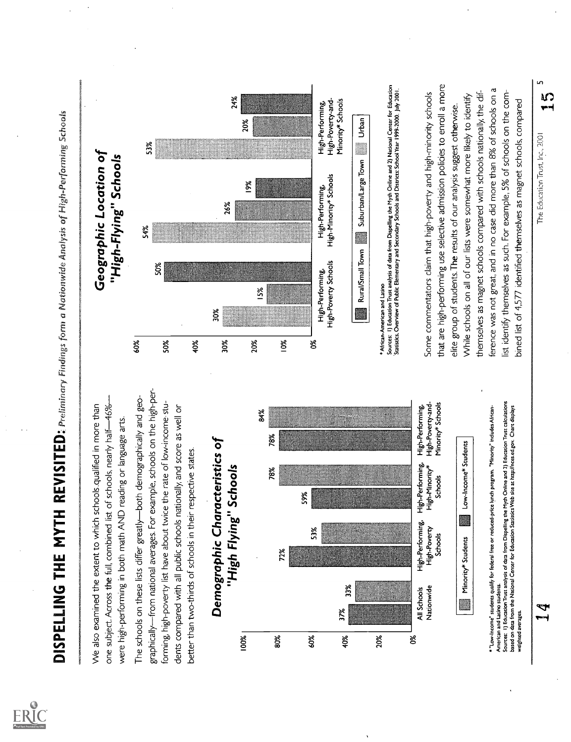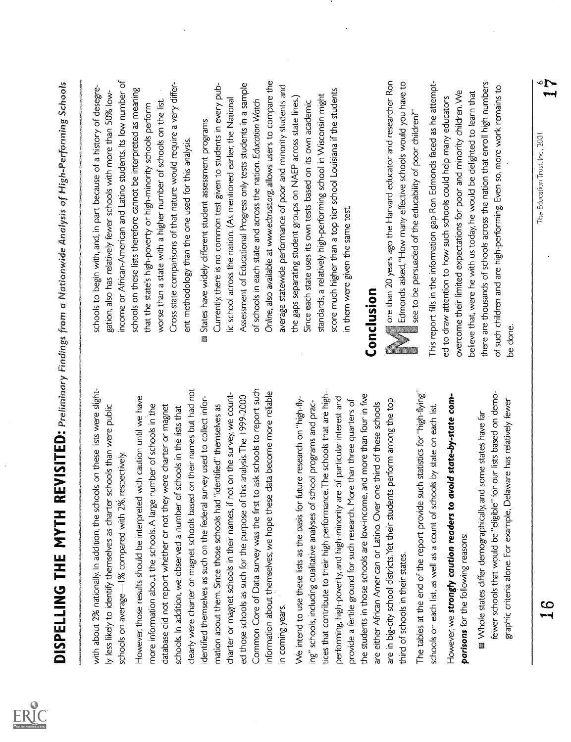| Full Text Provided by ERIC |
|----------------------------|

**DISPELLING THE MYTHERESS (TEP:**  $\mu_{\text{eff}}$  is the second of the second of the second of the second of the second of the second of the second of the second of the second of the second of the second of the second of the se

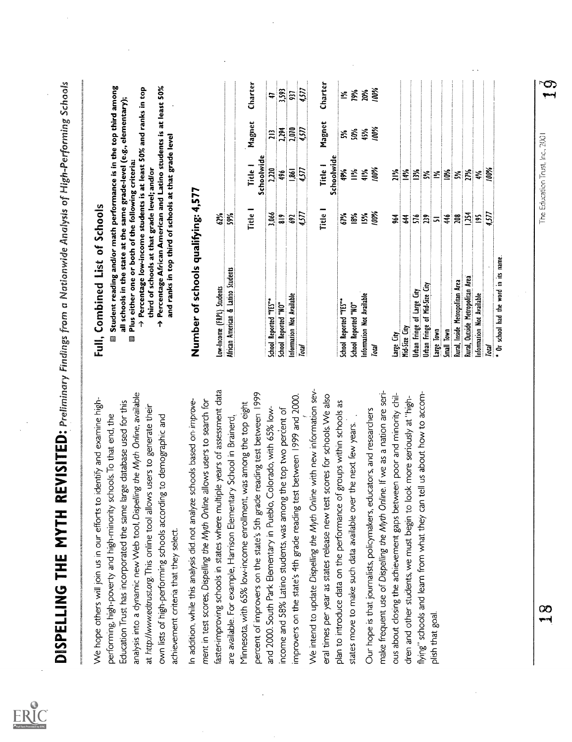| Full Text Provided by ERIC |  |
|----------------------------|--|

- 
- 
- 

|         |             |                       |                | * Or school had the word in its name.                                                                                                                                        |                                                                                                                                                                                           |
|---------|-------------|-----------------------|----------------|------------------------------------------------------------------------------------------------------------------------------------------------------------------------------|-------------------------------------------------------------------------------------------------------------------------------------------------------------------------------------------|
|         |             | 100%                  | 4,577          | Total                                                                                                                                                                        |                                                                                                                                                                                           |
|         |             | ₹                     | ies            | Information Not Available                                                                                                                                                    |                                                                                                                                                                                           |
|         |             | 27%                   | 1,254          | Rural, Outside Metropolitan Area                                                                                                                                             |                                                                                                                                                                                           |
|         |             | ž                     | 208            | Rural, Inside Metropolitan Area                                                                                                                                              |                                                                                                                                                                                           |
|         |             | Š                     | 46             | Small Town                                                                                                                                                                   |                                                                                                                                                                                           |
|         |             | ুৰ                    | $\overline{a}$ | Large Town                                                                                                                                                                   | plish that goal                                                                                                                                                                           |
|         |             | ž                     | 239            | Urban Fringe of Mid-Size City                                                                                                                                                |                                                                                                                                                                                           |
|         |             | ž                     | 576            | Urban Fringe of Large City                                                                                                                                                   | flying" schools and learn from what they can tell us about how to accom-                                                                                                                  |
|         |             | 14%                   | $\tilde{f}$    | Mid-Size City                                                                                                                                                                | dren and other students, we must begin to look more seriously at "high-                                                                                                                   |
|         |             | žik<br>Z              | 34             | Large City                                                                                                                                                                   | ous about closing the achievement gaps between poor and minority chil-                                                                                                                    |
| 100%    | 100%        | 100%                  | 100%           | Total                                                                                                                                                                        | make frequent use of Dispelling the Myth Online. If we as a nation are seri-                                                                                                              |
| 20%     | 45%         | 41%                   | IS%            | Information Not Available                                                                                                                                                    | Our hope is that journalists, policymakers, educators, and researchers                                                                                                                    |
| 79%     | 50%         | N∙li                  | 18%            | School Reported "NO"                                                                                                                                                         | states move to make such data available over the next few years.                                                                                                                          |
| ≥ั      | ≵           | 49%                   | 61%            | School Reported "YES"*                                                                                                                                                       | plan to introduce data on the performance of groups within schools as                                                                                                                     |
| Charter | Magnet      | Schoolwide<br>Title 1 | Title 1        |                                                                                                                                                                              | eral times per year as states release new test scores for schools. We also                                                                                                                |
|         |             |                       |                |                                                                                                                                                                              | We intend to update Dispelling the Myth Online with new information sev-                                                                                                                  |
| 4,577   | 457         | 4,577                 | 4577           | <b>Total</b>                                                                                                                                                                 |                                                                                                                                                                                           |
| 937     | 2,070       | 1,861                 | <b>G</b>       | nformation Not Available                                                                                                                                                     | improvers on the state's 4th grade reading test between 1999 and 2000.                                                                                                                    |
| 3,593   | 2,294       | 496                   | $\frac{8}{9}$  | School Reported "NO"                                                                                                                                                         | income and 58% Latino students, was among the top two percent of                                                                                                                          |
| \$      | $\tilde{=}$ | 2,220                 | 3,066          | School Reported "YES"*                                                                                                                                                       | and 2000. South Park Elementary in Pueblo, Colorado, with 65% low-                                                                                                                        |
| Charter | Magnet      | Schoolwide<br>Title 1 | Fitle 1        |                                                                                                                                                                              | percent of improvers on the state's 5th grade reading test between 1999<br>Minnesota, with 65% low-income enrollment, was among the top eight                                             |
|         |             |                       | 59%            | African American & Latino Students                                                                                                                                           | are available. For example, Harrison Elementary School in Brainerd,                                                                                                                       |
|         |             |                       | 62%            | Low-Income (FRPL) Students                                                                                                                                                   | faster-improving schools in states where multiple years of assessment data<br>ment in test scores, Dispelling the Myth Online allows users to search for                                  |
|         |             |                       |                | Number of schools qualifying: 4,577                                                                                                                                          | In addition, while this analysis did not analyze schools based on improve-                                                                                                                |
|         |             |                       |                | Percentage African American and Latino students is at least 50%<br>and ranks in top third of schools at that grade level<br>↑                                                | own lists of high-performing schools according to demographic and<br>achievement criteria that they select.                                                                               |
|         |             |                       |                | → Percentage low-income students is at least 50% and ranks in top<br>Plus either one or both of the following criteria:<br>third of schools at that grade level; and/or<br>Ø | analysis into a dynamic new Web tool, Dispelling the Myth Online, available<br>large database used for this<br>at http://www.edtrust.org. This online tool allows users to generate their |
|         |             |                       |                | Student reading and/or math performance is in the top third among<br>all schools in the state at the same grade-level (e.g., elementary);                                    | schools. To that end, the<br>Education Trust has incorporated the same<br>performing, high-poverty and high-minority                                                                      |
|         |             |                       |                | <b>Full, Combined List of Schools</b>                                                                                                                                        | We hope others will join us in our efforts to identify and examine high-                                                                                                                  |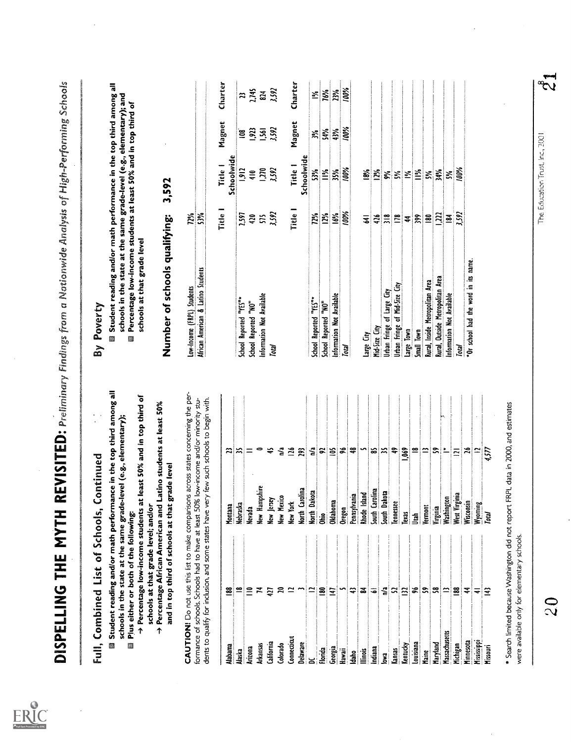|                        | Full, Combined List of Schools,                                           | Continued                                                                                                                                                                          |                                                                                                                                                     | By Poverty                                                                                                                                                                                                                                   |                          |                      |                    |                    |
|------------------------|---------------------------------------------------------------------------|------------------------------------------------------------------------------------------------------------------------------------------------------------------------------------|-----------------------------------------------------------------------------------------------------------------------------------------------------|----------------------------------------------------------------------------------------------------------------------------------------------------------------------------------------------------------------------------------------------|--------------------------|----------------------|--------------------|--------------------|
| 缰                      | Plus either or both of the following:                                     | schools in the state at the same grade-level (e.g., elementary);                                                                                                                   | Student reading and/or math performance in the top third among all<br>$\rightarrow$ Percentage low-income students at least 50% and in top third of | Student reading and/or math performance in the top third among all<br>schools in the state at the same grade-level (e.g., elementary); and<br>Percentage low-income students at least 50% and in top third of<br>schools at that grade level |                          |                      |                    |                    |
| ቀ                      | schools at that grade level; and/or<br>and in top third of schools at tha | Percentage African American and Latino students at least 50%<br>at grade level                                                                                                     |                                                                                                                                                     | Number of schools qualifying:                                                                                                                                                                                                                |                          | 3,592                |                    |                    |
|                        |                                                                           | dents to qualify for inclusion, and some states have very few such schools to begin with.<br>formance of schools. Schools had to have at least 50% low-income and/or minority stu- | CAUTION! Do not use this list to make comparisons across states concerning the per-                                                                 | African American & Latino Students<br>Low-Income (FRPL) Students                                                                                                                                                                             | <b>72%</b><br>$5\%$      |                      |                    |                    |
|                        |                                                                           |                                                                                                                                                                                    |                                                                                                                                                     |                                                                                                                                                                                                                                              | <b>Title</b>             | Title 1              | Magnet             | Charter            |
| Alabama                |                                                                           | Montana                                                                                                                                                                            |                                                                                                                                                     |                                                                                                                                                                                                                                              |                          | Schoolwide           |                    |                    |
| <b>Alaska</b>          | ≌                                                                         | Nebraska                                                                                                                                                                           | $\approx$                                                                                                                                           | School Reported "YES"*                                                                                                                                                                                                                       | 2,597                    | 1912                 | ē                  |                    |
| Arizona                | ≘                                                                         | Nevada                                                                                                                                                                             | Ξ                                                                                                                                                   | School Reported "NO"                                                                                                                                                                                                                         | $\ddot{2}$               | $\frac{1}{4}$        | 1,923              | $\frac{13}{2,145}$ |
| Arkansas               | ≍                                                                         | Hampshire<br>_<br>≩                                                                                                                                                                |                                                                                                                                                     | Information Not Available                                                                                                                                                                                                                    | 55                       | 1270                 | $1,561$<br>$3,592$ |                    |
| California<br>Colorado | 17                                                                        | Mexico<br>leray<br>š<br>ě                                                                                                                                                          | ង្ខ<br>₽                                                                                                                                            | <b>Total</b>                                                                                                                                                                                                                                 | 3,592                    | 3,592                |                    | 3,592              |
| Connecticut            |                                                                           | tar<br>Di<br>.<br>≩                                                                                                                                                                | $\overline{26}$                                                                                                                                     |                                                                                                                                                                                                                                              | Title                    | Title 1              |                    |                    |
| Delaware               |                                                                           | Carolina<br>$\overline{5}$                                                                                                                                                         | $\tilde{a}$                                                                                                                                         |                                                                                                                                                                                                                                              |                          | Schoolwide           | Magnet             | Charter            |
| g                      | ≃                                                                         | Dakota<br><u>t</u>                                                                                                                                                                 | ្នឹ                                                                                                                                                 | School Reported "YES"*                                                                                                                                                                                                                       | 12%                      | 5%                   | 兴                  | ર્ઁ                |
| Florida                | 邑                                                                         | ှု<br>ချ                                                                                                                                                                           | $\approx$                                                                                                                                           | School Reported "NO"                                                                                                                                                                                                                         | 12%                      | $\frac{5}{16}$       | 54%                | 76%                |
| Georgia                | 147                                                                       | Oklahoma                                                                                                                                                                           | ≌∣≋                                                                                                                                                 | Information Not Available                                                                                                                                                                                                                    | 16%                      | 35%                  | 43%                | 23%                |
| Hawaii                 |                                                                           | Oregon                                                                                                                                                                             |                                                                                                                                                     | Total                                                                                                                                                                                                                                        | 100%                     | 100%                 | 100%               | 100%               |
| daho                   | ≎                                                                         | Pennsylvania                                                                                                                                                                       | ¦ş                                                                                                                                                  |                                                                                                                                                                                                                                              |                          |                      |                    |                    |
| linois<br>L            | Z                                                                         | Island<br><b>Rhode</b>                                                                                                                                                             | S                                                                                                                                                   | Large City                                                                                                                                                                                                                                   | ₹                        | <b>SS</b>            |                    |                    |
| Indiana                | 5                                                                         | Carolina<br>$\frac{1}{5}$                                                                                                                                                          | జ                                                                                                                                                   | Mid-Size City                                                                                                                                                                                                                                | $rac{1}{2}$              | $\frac{5}{2}$        |                    |                    |
| lowa                   | n'a                                                                       | Dakota<br>South                                                                                                                                                                    | !≍                                                                                                                                                  | <b>Urban Fringe of Large City</b>                                                                                                                                                                                                            | $\approx$                |                      |                    |                    |
| Kansas                 | R                                                                         | <b>lennessee</b>                                                                                                                                                                   | $\ddot{ }$                                                                                                                                          | Urban Fringe of Mid-Size City                                                                                                                                                                                                                | $\mathbb{E}$             | <b>हैं हैं</b>       |                    |                    |
| Kentucky               | $\Xi$                                                                     | lexas                                                                                                                                                                              | <b>SO</b>                                                                                                                                           | Large Town                                                                                                                                                                                                                                   | 4                        | $\tilde{\mathbf{z}}$ |                    |                    |
| Louisiana              | æ                                                                         | Jiah                                                                                                                                                                               | ≌                                                                                                                                                   | Small Town                                                                                                                                                                                                                                   | 399                      | 兰                    |                    |                    |
| Maine                  | ິລ                                                                        | Vermont                                                                                                                                                                            | $\tilde{\mathbf{r}}$                                                                                                                                | Rural, Inside Metropolitan Area                                                                                                                                                                                                              | 8                        | ž                    |                    |                    |
| Maryland               |                                                                           | Virginia                                                                                                                                                                           | $\tilde{\mathbf{r}}$                                                                                                                                | Rural, Outside Metropolitan Area                                                                                                                                                                                                             | $\tilde{u}$              | 34%                  |                    |                    |
| Massachusetts          | ≃                                                                         | Washington                                                                                                                                                                         | $\mathbf{L}$                                                                                                                                        | information Not Available                                                                                                                                                                                                                    | $\mathbf{\underline{z}}$ | వ                    |                    |                    |
| Michigan               | ≊                                                                         | West Virginia                                                                                                                                                                      | $\overline{2}$                                                                                                                                      | Total                                                                                                                                                                                                                                        | 3,592                    | 100%                 |                    |                    |
| Minnesota              | ₹                                                                         | Wisconsin                                                                                                                                                                          | $\mathbf{a}$                                                                                                                                        | "Or school had the word in its name.                                                                                                                                                                                                         |                          |                      |                    |                    |
| <b>Mississippi</b>     | ᆕ                                                                         | Wyoming                                                                                                                                                                            | $\approx$                                                                                                                                           |                                                                                                                                                                                                                                              |                          |                      |                    |                    |
| Missouri               | ≌                                                                         | Total                                                                                                                                                                              | 4577                                                                                                                                                |                                                                                                                                                                                                                                              |                          |                      |                    |                    |

\* Search limited because Washington did not report FRPL data in 2000, and estimates<br>were available only for elementary schools. \* Search limited because Washington did not report FRPL data in 2000, and estimates<br>were available only for elementary schools.<br>2 0 0 0 1 1 1 0 2 0 0 1 2 0 0 1 2 0 0 1 2 0 1 2 0 1 2 0 1 2 0 1 2 0 1 2 0 1 2 0 1 2 0 1 2 0 1

 $\ddot{\phantom{0}}$ 

 $\mathbf{z}$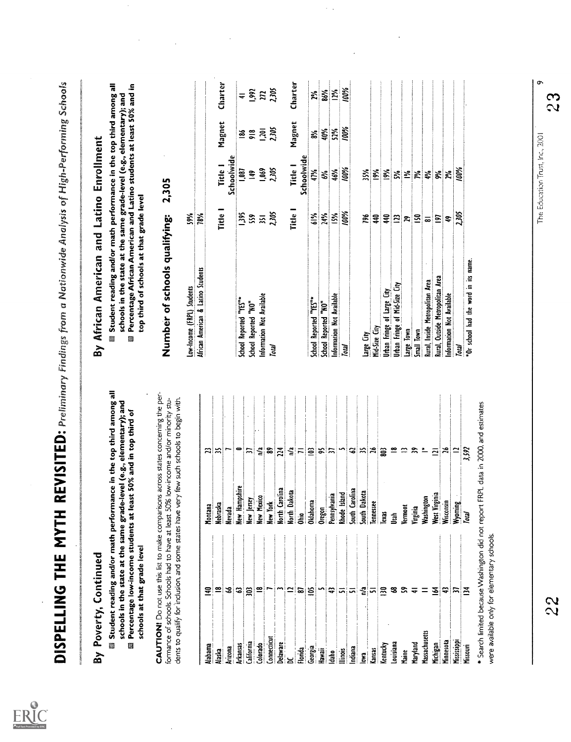| <b>Vew Hampshire</b><br>New Jersey<br>New Mexico<br>Nebraska<br>Nevada              | 耑                                                                                                                                                                            |
|-------------------------------------------------------------------------------------|------------------------------------------------------------------------------------------------------------------------------------------------------------------------------|
|                                                                                     |                                                                                                                                                                              |
|                                                                                     |                                                                                                                                                                              |
|                                                                                     |                                                                                                                                                                              |
|                                                                                     | $\approx$                                                                                                                                                                    |
|                                                                                     |                                                                                                                                                                              |
|                                                                                     |                                                                                                                                                                              |
| New York<br>North Carolina                                                          |                                                                                                                                                                              |
| North Dakota                                                                        |                                                                                                                                                                              |
| je<br>Ohio                                                                          |                                                                                                                                                                              |
| Oklahoma.                                                                           |                                                                                                                                                                              |
| Dregon                                                                              |                                                                                                                                                                              |
| Pennsylvania                                                                        |                                                                                                                                                                              |
|                                                                                     |                                                                                                                                                                              |
|                                                                                     |                                                                                                                                                                              |
|                                                                                     |                                                                                                                                                                              |
|                                                                                     |                                                                                                                                                                              |
|                                                                                     | $ \vec{z} $ & $\vec{z}$ $ \vec{z} $ = $ \vec{\Xi} $ & $ \vec{z} $ $\sim$ $ \vec{z} $ & $ \vec{z} $                                                                           |
| 鱼                                                                                   | ≌                                                                                                                                                                            |
| Vermont                                                                             | ≃ ສ                                                                                                                                                                          |
|                                                                                     |                                                                                                                                                                              |
| Washington                                                                          | $\overline{\phantom{a}}$                                                                                                                                                     |
|                                                                                     | $\bar{\mathbf{z}}$                                                                                                                                                           |
|                                                                                     |                                                                                                                                                                              |
|                                                                                     | $\frac{12}{352}$                                                                                                                                                             |
| Total                                                                               |                                                                                                                                                                              |
| * Search limited because Washington did not report FRPL data in 2000, and estimates |                                                                                                                                                                              |
|                                                                                     | Rhode Island<br>South Carolina<br>South Dakota<br>Tennessee<br>Tennessee<br>West Virginia<br>Wisconsin<br>Wyoming<br>Virginia<br>were available only for elementary schools. |

\* Search limited because Washington did not report FRPL data in 2000, and estimates were available only for elementary schools.<br>were available only for elementary schools.<br>22 23 23 23 22 23 23 23 23 23 23 22 23 22 23 22 2

|                      | By Poverty, Continued                                 |                                                                 |                                                                                                                                                                                                                     | By African American and Latino Enrollment                                                                                                                                                                                                                          |                  |                |           |                   |
|----------------------|-------------------------------------------------------|-----------------------------------------------------------------|---------------------------------------------------------------------------------------------------------------------------------------------------------------------------------------------------------------------|--------------------------------------------------------------------------------------------------------------------------------------------------------------------------------------------------------------------------------------------------------------------|------------------|----------------|-----------|-------------------|
| Ø                    | schools at that grade level                           | Percentage low-income students at least 50% and in top third of | Student reading and/or math performance in the top third among all<br>schools in the state at the same grade-level (e.g., elementary); and                                                                          | Student reading and/or math performance in the top third among all<br>Percentage African American and Latino students at least 50% and in<br>schools in the state at the same grade-level (e.g., elementary); and<br>top third of schools at that grade level<br>B |                  |                |           |                   |
|                      | formance of schools. Schools had to have at least 50% |                                                                 | CAUTION! Do not use this list to make comparisons across states concerning the per-<br>dents to qualify for inclusion, and some states have very few such schools to begin with.<br>low-income and/or minority stu- | Number of schools qualifying:                                                                                                                                                                                                                                      |                  | 2,305          |           |                   |
|                      |                                                       |                                                                 |                                                                                                                                                                                                                     | Low-Income (FRPL) Students                                                                                                                                                                                                                                         | 5%               |                |           |                   |
| Alabama              | 물                                                     | Montana                                                         |                                                                                                                                                                                                                     | African American & Latino Students                                                                                                                                                                                                                                 | 78%              |                |           |                   |
| Alaska               |                                                       | Nebraska                                                        | $\mathbb{Z} \mathbb{Z}$                                                                                                                                                                                             |                                                                                                                                                                                                                                                                    | fitte            | Title 1        | Magnet    | Charter           |
| Arizona              | 3                                                     | Vevada                                                          |                                                                                                                                                                                                                     |                                                                                                                                                                                                                                                                    |                  | Schoolwide     |           |                   |
| Arkansas             | ఇ                                                     | <b>New Hampshire</b>                                            |                                                                                                                                                                                                                     | School Reported "YES"*                                                                                                                                                                                                                                             | $\frac{58}{5}$   | 1,087          | <u>s</u>  | $\equiv$          |
| California           | B                                                     | <b>Vew Jersey</b>                                               | $\approx$                                                                                                                                                                                                           | School Reported "NO"                                                                                                                                                                                                                                               | 59               | $\mathbf{H}$   | $\approx$ | 992               |
| Colorado             |                                                       | New Mexico                                                      | <u>្ទី ន</u>                                                                                                                                                                                                        | Information Not Available                                                                                                                                                                                                                                          | $\overline{31}$  | 1,069          |           | $\overline{m}$    |
| <b>Lonnecticu</b>    |                                                       | lew York                                                        |                                                                                                                                                                                                                     | <b>Total</b>                                                                                                                                                                                                                                                       | 2,305            | 2,305          | 1,205     | 2305              |
| <b>Delaware</b>      |                                                       | lorth Carolina                                                  | $\mathbb{E}$                                                                                                                                                                                                        |                                                                                                                                                                                                                                                                    |                  |                |           |                   |
|                      |                                                       | <b>Vorth Dakota</b>                                             |                                                                                                                                                                                                                     |                                                                                                                                                                                                                                                                    | Title            | Title 1        | Magnet    | Charter           |
| Florida              | ౚ                                                     | ្ធ<br>វិធី                                                      | $\leq$ $\leq$ $\leq$                                                                                                                                                                                                |                                                                                                                                                                                                                                                                    |                  | Schoolwide     |           |                   |
| Georgia              | ≌                                                     | <b>Oklahoma</b>                                                 |                                                                                                                                                                                                                     | School Reported "YES"*                                                                                                                                                                                                                                             | 61%              | 47%            | వ్        | 2%                |
| Hawaii               |                                                       | Oregon                                                          | ង្គា                                                                                                                                                                                                                | School Reported "NO"                                                                                                                                                                                                                                               | 24%              | Š,             | 40%       | 86%               |
| <u>daha</u>          | ⇔                                                     | Pennsylvania                                                    |                                                                                                                                                                                                                     | Information Not Available                                                                                                                                                                                                                                          | ISN <sup>®</sup> | 46%            | 52%       | $\frac{195}{295}$ |
| llinois              | ᇊ                                                     | Rhode Island                                                    | ņ                                                                                                                                                                                                                   | Total                                                                                                                                                                                                                                                              | 100%             | 100%           | 100%      | 100%              |
| Indiana              |                                                       | <b>South Carolina</b>                                           |                                                                                                                                                                                                                     |                                                                                                                                                                                                                                                                    |                  |                |           |                   |
| lowa<br>E            | 2ª                                                    | South Dakota                                                    | a  x                                                                                                                                                                                                                | Large City                                                                                                                                                                                                                                                         | ðd.              | 35%            |           |                   |
| kansas               |                                                       | <b>Tennessee</b>                                                |                                                                                                                                                                                                                     | Mid-Size City                                                                                                                                                                                                                                                      | ₹                | $\frac{6}{6}$  |           |                   |
| Kentucky             | $\approx$                                             | lexas                                                           |                                                                                                                                                                                                                     | Jrban Fringe of Large City                                                                                                                                                                                                                                         | $\frac{40}{2}$   | $\frac{5}{26}$ |           |                   |
| Louisiana            | 3                                                     | Ía                                                              | $\cong$                                                                                                                                                                                                             | Joban Fringe of Mid-Size City                                                                                                                                                                                                                                      | $\Xi$            | ž              |           |                   |
| Maine                |                                                       | Vermont                                                         | $\cong$                                                                                                                                                                                                             | Large Town                                                                                                                                                                                                                                                         | ៉ុន              | ু              |           |                   |
| Maryland             | ₹                                                     | Virginia                                                        | $\approx$                                                                                                                                                                                                           | imall Town                                                                                                                                                                                                                                                         | $\Xi$            | Þδ.            |           |                   |
| <b>Massachusetts</b> |                                                       | Washington<br>West Virginia                                     | $\overline{\phantom{a}}$                                                                                                                                                                                            | Rural, Inside Metropolitan Area                                                                                                                                                                                                                                    | ಹ                | 4%             |           |                   |
| Michigan             | ≊                                                     |                                                                 | $\mathbb{Z} \mathbb{Z} $ $\cong$                                                                                                                                                                                    | Rural, Outside Metropolitan Area                                                                                                                                                                                                                                   | 5                | 9%             |           |                   |
| Minnesota            | ₽                                                     | Wisconsin                                                       |                                                                                                                                                                                                                     | nformation Not Available                                                                                                                                                                                                                                           | Ş                | χ¢             |           |                   |
| <b>Missisippi</b>    |                                                       | Wyoming                                                         |                                                                                                                                                                                                                     | Total                                                                                                                                                                                                                                                              | 2,305            | 100%           |           |                   |
| Missouri             | $\tilde{E}$                                           | Total                                                           | 3,592                                                                                                                                                                                                               | "Or school had the word in its name.                                                                                                                                                                                                                               |                  |                |           |                   |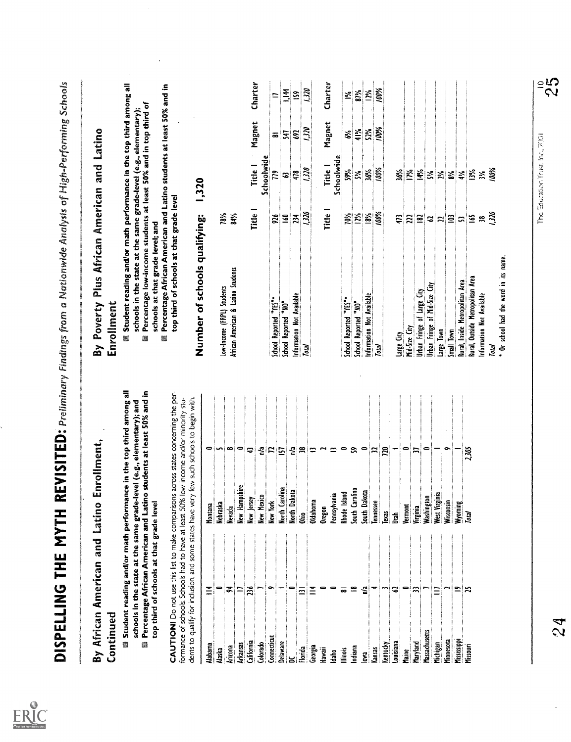| top third of schools at that grade level<br>Title 1<br>Fitle 1<br>1,320<br>100%<br>$12\%$<br>18%<br>Number of schools qualifying:<br>78%<br>84%<br>70%<br>234<br>$\frac{6}{16}$<br>926<br>473<br>$\Xi$<br>$\tilde{=}$<br>22<br>$\tilde{\mathbf{z}}$<br>$\mathbf{c}$<br>$\mathbf{r}$<br>schools at that grade level; and<br>African American & Latino Students<br>Rural, Inside Metropolitan Area<br>Urban Fringe of Mid-Size City<br>Low-Income (FRPL) Students<br>Urban Fringe of Large City<br>Information Not Available<br>Information Not Available<br>School Reported "YES"*<br>School Reported "YES"*<br>School Reported "NO"<br>School Reported "NO"<br>Mid-Size City<br>Large Town<br>Small Town<br>Large City<br>B<br><b>Total</b><br>Total<br>Student reading and/or math performance in the top third among all<br>@ Percentage African American and Latino students at least 50% and in<br>CAUTION! Do not use this list to make comparisons across states concerning the per-<br>dents to qualify for inclusion, and some states have very few such schools to begin with.<br>formance of schools. Schools had to have at least 50% low-income and/or minority stu-<br>schools in the state at the same grade-level (e.g., elementary); and<br>$\bullet$<br>្ទឹ<br>n'a<br>$\bullet$<br>$\tilde{\mathbf{z}}$<br>$\Rightarrow$<br>0<br>$\bullet$<br>Ş<br>$\mathbf{r}$<br>S<br>≈<br><b>PLL</b><br>0<br>S<br>$\mathbf{r}$<br>$\overline{ }$<br>$\approx$<br>$\mathbf{z}$<br>$\Xi$<br>۰<br>Hampshire<br>North Carolina<br>South Carolina<br>Dakota<br>Dakota<br>Island<br>Pennsylvania<br>West Virginia<br>Mexico<br>Washington<br>Jersey<br><b>Oklahoma</b><br>Wisconsin<br>ť<br><b>Tennessee</b><br>top third of schools at that grade level<br>Wyoming<br>Nebraska<br>Virginia<br>Montana<br>Vermont<br><b>Nevada</b><br>Oregon<br><u>t</u><br><b>Rhode</b><br>$rac{1}{20}$<br>┋<br>New Y<br>lexas<br>ូ<br>ភី<br>₹<br>Jtah<br>New<br>≝<br>$\equiv$<br>$\overline{\phantom{0}}$<br>Z<br>≌<br>n <sup>1</sup> a<br>0<br><u>o</u><br>ă<br>$\equiv$<br>米<br>╺<br>≈<br>$\equiv$<br>ಹ<br>ဒ<br>Ξ<br>$\bar{\Xi}$<br>Continued<br>Massachusetts<br>Connecticut<br>Minnesota<br>Missispp<br>California<br>Louisiana<br>Delaware<br>Colorado<br>Maryland<br>Michigan<br>Kentucky<br>Arkansas<br><b>Alabama</b><br>Maine<br>Maine<br>Georgia<br>Arizona<br>Indiana<br>Florida<br>Hawaii<br>llinois<br>kansas<br>Alaska<br>lowa<br>Idaho<br>5 | Student reading and/or math performance in the top third among all<br>Percentage low-income students at least 50% and in top third of<br>schools in the state at the same grade-level (e.g., elementary) | By Poverty Plus African American and Latino<br>Enrollment |
|--------------------------------------------------------------------------------------------------------------------------------------------------------------------------------------------------------------------------------------------------------------------------------------------------------------------------------------------------------------------------------------------------------------------------------------------------------------------------------------------------------------------------------------------------------------------------------------------------------------------------------------------------------------------------------------------------------------------------------------------------------------------------------------------------------------------------------------------------------------------------------------------------------------------------------------------------------------------------------------------------------------------------------------------------------------------------------------------------------------------------------------------------------------------------------------------------------------------------------------------------------------------------------------------------------------------------------------------------------------------------------------------------------------------------------------------------------------------------------------------------------------------------------------------------------------------------------------------------------------------------------------------------------------------------------------------------------------------------------------------------------------------------------------------------------------------------------------------------------------------------------------------------------------------------------------------------------------------------------------------------------------------------------------------------------------------------------------------------------------------------------------------------------------------------------------------------------------------------------------------------------------------------------------------------------------------------------------------------------------------------------------------------------------------------------------------|----------------------------------------------------------------------------------------------------------------------------------------------------------------------------------------------------------|-----------------------------------------------------------|
|                                                                                                                                                                                                                                                                                                                                                                                                                                                                                                                                                                                                                                                                                                                                                                                                                                                                                                                                                                                                                                                                                                                                                                                                                                                                                                                                                                                                                                                                                                                                                                                                                                                                                                                                                                                                                                                                                                                                                                                                                                                                                                                                                                                                                                                                                                                                                                                                                                            |                                                                                                                                                                                                          |                                                           |
|                                                                                                                                                                                                                                                                                                                                                                                                                                                                                                                                                                                                                                                                                                                                                                                                                                                                                                                                                                                                                                                                                                                                                                                                                                                                                                                                                                                                                                                                                                                                                                                                                                                                                                                                                                                                                                                                                                                                                                                                                                                                                                                                                                                                                                                                                                                                                                                                                                            |                                                                                                                                                                                                          |                                                           |
|                                                                                                                                                                                                                                                                                                                                                                                                                                                                                                                                                                                                                                                                                                                                                                                                                                                                                                                                                                                                                                                                                                                                                                                                                                                                                                                                                                                                                                                                                                                                                                                                                                                                                                                                                                                                                                                                                                                                                                                                                                                                                                                                                                                                                                                                                                                                                                                                                                            | Percentage African American and Latino students at least 50% and in                                                                                                                                      |                                                           |
|                                                                                                                                                                                                                                                                                                                                                                                                                                                                                                                                                                                                                                                                                                                                                                                                                                                                                                                                                                                                                                                                                                                                                                                                                                                                                                                                                                                                                                                                                                                                                                                                                                                                                                                                                                                                                                                                                                                                                                                                                                                                                                                                                                                                                                                                                                                                                                                                                                            | 1,320                                                                                                                                                                                                    |                                                           |
|                                                                                                                                                                                                                                                                                                                                                                                                                                                                                                                                                                                                                                                                                                                                                                                                                                                                                                                                                                                                                                                                                                                                                                                                                                                                                                                                                                                                                                                                                                                                                                                                                                                                                                                                                                                                                                                                                                                                                                                                                                                                                                                                                                                                                                                                                                                                                                                                                                            |                                                                                                                                                                                                          |                                                           |
|                                                                                                                                                                                                                                                                                                                                                                                                                                                                                                                                                                                                                                                                                                                                                                                                                                                                                                                                                                                                                                                                                                                                                                                                                                                                                                                                                                                                                                                                                                                                                                                                                                                                                                                                                                                                                                                                                                                                                                                                                                                                                                                                                                                                                                                                                                                                                                                                                                            |                                                                                                                                                                                                          |                                                           |
|                                                                                                                                                                                                                                                                                                                                                                                                                                                                                                                                                                                                                                                                                                                                                                                                                                                                                                                                                                                                                                                                                                                                                                                                                                                                                                                                                                                                                                                                                                                                                                                                                                                                                                                                                                                                                                                                                                                                                                                                                                                                                                                                                                                                                                                                                                                                                                                                                                            |                                                                                                                                                                                                          |                                                           |
|                                                                                                                                                                                                                                                                                                                                                                                                                                                                                                                                                                                                                                                                                                                                                                                                                                                                                                                                                                                                                                                                                                                                                                                                                                                                                                                                                                                                                                                                                                                                                                                                                                                                                                                                                                                                                                                                                                                                                                                                                                                                                                                                                                                                                                                                                                                                                                                                                                            |                                                                                                                                                                                                          |                                                           |
|                                                                                                                                                                                                                                                                                                                                                                                                                                                                                                                                                                                                                                                                                                                                                                                                                                                                                                                                                                                                                                                                                                                                                                                                                                                                                                                                                                                                                                                                                                                                                                                                                                                                                                                                                                                                                                                                                                                                                                                                                                                                                                                                                                                                                                                                                                                                                                                                                                            | Charter<br>Magnet<br>Title I                                                                                                                                                                             |                                                           |
|                                                                                                                                                                                                                                                                                                                                                                                                                                                                                                                                                                                                                                                                                                                                                                                                                                                                                                                                                                                                                                                                                                                                                                                                                                                                                                                                                                                                                                                                                                                                                                                                                                                                                                                                                                                                                                                                                                                                                                                                                                                                                                                                                                                                                                                                                                                                                                                                                                            | Schoolwide                                                                                                                                                                                               |                                                           |
|                                                                                                                                                                                                                                                                                                                                                                                                                                                                                                                                                                                                                                                                                                                                                                                                                                                                                                                                                                                                                                                                                                                                                                                                                                                                                                                                                                                                                                                                                                                                                                                                                                                                                                                                                                                                                                                                                                                                                                                                                                                                                                                                                                                                                                                                                                                                                                                                                                            | $\overline{\bullet}$<br>779                                                                                                                                                                              |                                                           |
|                                                                                                                                                                                                                                                                                                                                                                                                                                                                                                                                                                                                                                                                                                                                                                                                                                                                                                                                                                                                                                                                                                                                                                                                                                                                                                                                                                                                                                                                                                                                                                                                                                                                                                                                                                                                                                                                                                                                                                                                                                                                                                                                                                                                                                                                                                                                                                                                                                            | 1,144<br>£<br>S                                                                                                                                                                                          |                                                           |
|                                                                                                                                                                                                                                                                                                                                                                                                                                                                                                                                                                                                                                                                                                                                                                                                                                                                                                                                                                                                                                                                                                                                                                                                                                                                                                                                                                                                                                                                                                                                                                                                                                                                                                                                                                                                                                                                                                                                                                                                                                                                                                                                                                                                                                                                                                                                                                                                                                            | 692<br>478                                                                                                                                                                                               |                                                           |
|                                                                                                                                                                                                                                                                                                                                                                                                                                                                                                                                                                                                                                                                                                                                                                                                                                                                                                                                                                                                                                                                                                                                                                                                                                                                                                                                                                                                                                                                                                                                                                                                                                                                                                                                                                                                                                                                                                                                                                                                                                                                                                                                                                                                                                                                                                                                                                                                                                            | 1.320<br>0751<br>0757                                                                                                                                                                                    |                                                           |
|                                                                                                                                                                                                                                                                                                                                                                                                                                                                                                                                                                                                                                                                                                                                                                                                                                                                                                                                                                                                                                                                                                                                                                                                                                                                                                                                                                                                                                                                                                                                                                                                                                                                                                                                                                                                                                                                                                                                                                                                                                                                                                                                                                                                                                                                                                                                                                                                                                            |                                                                                                                                                                                                          |                                                           |
|                                                                                                                                                                                                                                                                                                                                                                                                                                                                                                                                                                                                                                                                                                                                                                                                                                                                                                                                                                                                                                                                                                                                                                                                                                                                                                                                                                                                                                                                                                                                                                                                                                                                                                                                                                                                                                                                                                                                                                                                                                                                                                                                                                                                                                                                                                                                                                                                                                            | Charter<br>Magnet<br>Title 1                                                                                                                                                                             |                                                           |
|                                                                                                                                                                                                                                                                                                                                                                                                                                                                                                                                                                                                                                                                                                                                                                                                                                                                                                                                                                                                                                                                                                                                                                                                                                                                                                                                                                                                                                                                                                                                                                                                                                                                                                                                                                                                                                                                                                                                                                                                                                                                                                                                                                                                                                                                                                                                                                                                                                            | Schoolwide                                                                                                                                                                                               |                                                           |
|                                                                                                                                                                                                                                                                                                                                                                                                                                                                                                                                                                                                                                                                                                                                                                                                                                                                                                                                                                                                                                                                                                                                                                                                                                                                                                                                                                                                                                                                                                                                                                                                                                                                                                                                                                                                                                                                                                                                                                                                                                                                                                                                                                                                                                                                                                                                                                                                                                            | Š,<br>5%                                                                                                                                                                                                 |                                                           |
|                                                                                                                                                                                                                                                                                                                                                                                                                                                                                                                                                                                                                                                                                                                                                                                                                                                                                                                                                                                                                                                                                                                                                                                                                                                                                                                                                                                                                                                                                                                                                                                                                                                                                                                                                                                                                                                                                                                                                                                                                                                                                                                                                                                                                                                                                                                                                                                                                                            | 87%<br>41%<br>ž                                                                                                                                                                                          |                                                           |
|                                                                                                                                                                                                                                                                                                                                                                                                                                                                                                                                                                                                                                                                                                                                                                                                                                                                                                                                                                                                                                                                                                                                                                                                                                                                                                                                                                                                                                                                                                                                                                                                                                                                                                                                                                                                                                                                                                                                                                                                                                                                                                                                                                                                                                                                                                                                                                                                                                            | 12%<br>52%<br>36%                                                                                                                                                                                        |                                                           |
|                                                                                                                                                                                                                                                                                                                                                                                                                                                                                                                                                                                                                                                                                                                                                                                                                                                                                                                                                                                                                                                                                                                                                                                                                                                                                                                                                                                                                                                                                                                                                                                                                                                                                                                                                                                                                                                                                                                                                                                                                                                                                                                                                                                                                                                                                                                                                                                                                                            | 100%<br>100%<br>100%                                                                                                                                                                                     |                                                           |
|                                                                                                                                                                                                                                                                                                                                                                                                                                                                                                                                                                                                                                                                                                                                                                                                                                                                                                                                                                                                                                                                                                                                                                                                                                                                                                                                                                                                                                                                                                                                                                                                                                                                                                                                                                                                                                                                                                                                                                                                                                                                                                                                                                                                                                                                                                                                                                                                                                            |                                                                                                                                                                                                          |                                                           |
|                                                                                                                                                                                                                                                                                                                                                                                                                                                                                                                                                                                                                                                                                                                                                                                                                                                                                                                                                                                                                                                                                                                                                                                                                                                                                                                                                                                                                                                                                                                                                                                                                                                                                                                                                                                                                                                                                                                                                                                                                                                                                                                                                                                                                                                                                                                                                                                                                                            | 36%                                                                                                                                                                                                      |                                                           |
|                                                                                                                                                                                                                                                                                                                                                                                                                                                                                                                                                                                                                                                                                                                                                                                                                                                                                                                                                                                                                                                                                                                                                                                                                                                                                                                                                                                                                                                                                                                                                                                                                                                                                                                                                                                                                                                                                                                                                                                                                                                                                                                                                                                                                                                                                                                                                                                                                                            | 17%                                                                                                                                                                                                      |                                                           |
|                                                                                                                                                                                                                                                                                                                                                                                                                                                                                                                                                                                                                                                                                                                                                                                                                                                                                                                                                                                                                                                                                                                                                                                                                                                                                                                                                                                                                                                                                                                                                                                                                                                                                                                                                                                                                                                                                                                                                                                                                                                                                                                                                                                                                                                                                                                                                                                                                                            | 14%                                                                                                                                                                                                      |                                                           |
|                                                                                                                                                                                                                                                                                                                                                                                                                                                                                                                                                                                                                                                                                                                                                                                                                                                                                                                                                                                                                                                                                                                                                                                                                                                                                                                                                                                                                                                                                                                                                                                                                                                                                                                                                                                                                                                                                                                                                                                                                                                                                                                                                                                                                                                                                                                                                                                                                                            | ž                                                                                                                                                                                                        |                                                           |
|                                                                                                                                                                                                                                                                                                                                                                                                                                                                                                                                                                                                                                                                                                                                                                                                                                                                                                                                                                                                                                                                                                                                                                                                                                                                                                                                                                                                                                                                                                                                                                                                                                                                                                                                                                                                                                                                                                                                                                                                                                                                                                                                                                                                                                                                                                                                                                                                                                            | χ¢                                                                                                                                                                                                       |                                                           |
|                                                                                                                                                                                                                                                                                                                                                                                                                                                                                                                                                                                                                                                                                                                                                                                                                                                                                                                                                                                                                                                                                                                                                                                                                                                                                                                                                                                                                                                                                                                                                                                                                                                                                                                                                                                                                                                                                                                                                                                                                                                                                                                                                                                                                                                                                                                                                                                                                                            | జ                                                                                                                                                                                                        |                                                           |
|                                                                                                                                                                                                                                                                                                                                                                                                                                                                                                                                                                                                                                                                                                                                                                                                                                                                                                                                                                                                                                                                                                                                                                                                                                                                                                                                                                                                                                                                                                                                                                                                                                                                                                                                                                                                                                                                                                                                                                                                                                                                                                                                                                                                                                                                                                                                                                                                                                            | €                                                                                                                                                                                                        |                                                           |
| <u>165</u><br>Rural, Outside Metropolitan Area<br>2,305<br><b>Total</b><br>Missouri                                                                                                                                                                                                                                                                                                                                                                                                                                                                                                                                                                                                                                                                                                                                                                                                                                                                                                                                                                                                                                                                                                                                                                                                                                                                                                                                                                                                                                                                                                                                                                                                                                                                                                                                                                                                                                                                                                                                                                                                                                                                                                                                                                                                                                                                                                                                                        | 13%                                                                                                                                                                                                      |                                                           |
| $\approx$<br>Information Not Available                                                                                                                                                                                                                                                                                                                                                                                                                                                                                                                                                                                                                                                                                                                                                                                                                                                                                                                                                                                                                                                                                                                                                                                                                                                                                                                                                                                                                                                                                                                                                                                                                                                                                                                                                                                                                                                                                                                                                                                                                                                                                                                                                                                                                                                                                                                                                                                                     | ×                                                                                                                                                                                                        |                                                           |
| <b>OCC</b><br>lotal                                                                                                                                                                                                                                                                                                                                                                                                                                                                                                                                                                                                                                                                                                                                                                                                                                                                                                                                                                                                                                                                                                                                                                                                                                                                                                                                                                                                                                                                                                                                                                                                                                                                                                                                                                                                                                                                                                                                                                                                                                                                                                                                                                                                                                                                                                                                                                                                                        | 100%                                                                                                                                                                                                     |                                                           |
| * Or school had the word in its name.                                                                                                                                                                                                                                                                                                                                                                                                                                                                                                                                                                                                                                                                                                                                                                                                                                                                                                                                                                                                                                                                                                                                                                                                                                                                                                                                                                                                                                                                                                                                                                                                                                                                                                                                                                                                                                                                                                                                                                                                                                                                                                                                                                                                                                                                                                                                                                                                      |                                                                                                                                                                                                          |                                                           |
|                                                                                                                                                                                                                                                                                                                                                                                                                                                                                                                                                                                                                                                                                                                                                                                                                                                                                                                                                                                                                                                                                                                                                                                                                                                                                                                                                                                                                                                                                                                                                                                                                                                                                                                                                                                                                                                                                                                                                                                                                                                                                                                                                                                                                                                                                                                                                                                                                                            |                                                                                                                                                                                                          |                                                           |
|                                                                                                                                                                                                                                                                                                                                                                                                                                                                                                                                                                                                                                                                                                                                                                                                                                                                                                                                                                                                                                                                                                                                                                                                                                                                                                                                                                                                                                                                                                                                                                                                                                                                                                                                                                                                                                                                                                                                                                                                                                                                                                                                                                                                                                                                                                                                                                                                                                            | The Education Trust, Inc., 2001                                                                                                                                                                          |                                                           |
|                                                                                                                                                                                                                                                                                                                                                                                                                                                                                                                                                                                                                                                                                                                                                                                                                                                                                                                                                                                                                                                                                                                                                                                                                                                                                                                                                                                                                                                                                                                                                                                                                                                                                                                                                                                                                                                                                                                                                                                                                                                                                                                                                                                                                                                                                                                                                                                                                                            |                                                                                                                                                                                                          |                                                           |
| 24                                                                                                                                                                                                                                                                                                                                                                                                                                                                                                                                                                                                                                                                                                                                                                                                                                                                                                                                                                                                                                                                                                                                                                                                                                                                                                                                                                                                                                                                                                                                                                                                                                                                                                                                                                                                                                                                                                                                                                                                                                                                                                                                                                                                                                                                                                                                                                                                                                         |                                                                                                                                                                                                          |                                                           |

 $\ddot{\phantom{0}}$ 

The calculation indicate indicate  $25$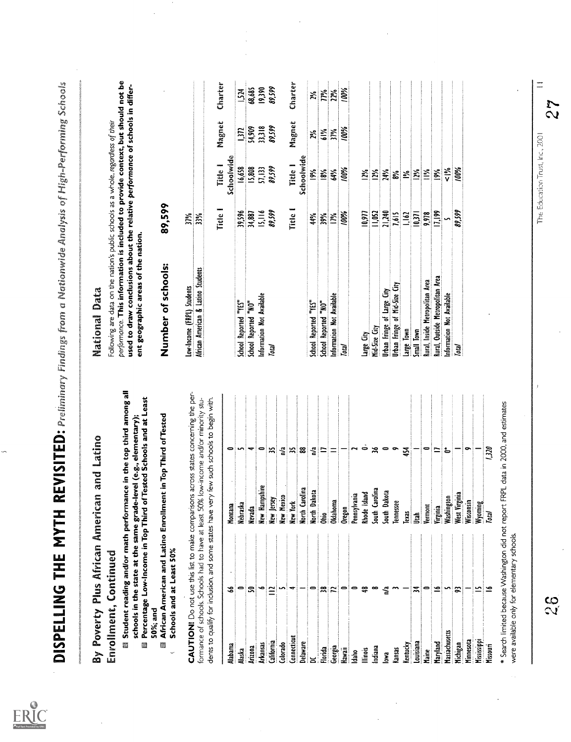- 
- 

|         |          |         |                      | ុង                     |                    |                |  | $\leq$ $\approx$ $\approx$ $\leq$ $\approx$ $\approx$ $\approx$ $\sim$ $\sim$                                                                                                                                 |  |                          | 454                            |      | $\vert \bullet \vert$ = |          | ౹౬                                                                              |          |           |             | $\frac{1}{2}$   |  |
|---------|----------|---------|----------------------|------------------------|--------------------|----------------|--|---------------------------------------------------------------------------------------------------------------------------------------------------------------------------------------------------------------|--|--------------------------|--------------------------------|------|-------------------------|----------|---------------------------------------------------------------------------------|----------|-----------|-------------|-----------------|--|
| Montana | Nebraska |         |                      |                        |                    |                |  | Menada<br>Mew Hampshire<br>Mew Mexico<br>Mew Morth Carolina<br>Mew Morth Dakota<br>Oldahoma<br>Oldahoma<br>Cennsylvania<br>Cennsylvania<br>Cennsylvania<br>South Carolina<br>South Carolina<br>South Carolina |  |                          |                                |      |                         |          | Texas<br>Utah<br>Vermont<br>Weginia<br>Weginia<br>Weginia<br>Weginia<br>Weginia |          |           |             |                 |  |
|         |          |         |                      |                        |                    |                |  | ╺│⋦│⋖│ <u>∼</u> │∽│⋖│≍│०│० <del>७</del>                                                                                                                                                                       |  | $\frac{a}{2}$ $\sim$ $-$ |                                | ∣≍∣− |                         |          | ≃∣∽∣ສ∣                                                                          |          |           |             |                 |  |
| Alabama | Alaska   | Arizona | $\frac{4}{\sqrt{2}}$ | California<br>Colorado | <b>Connecticut</b> | Delaware<br>DC |  | Florida<br>Georgia<br>Hawaii<br>Illinois<br>Illinois                                                                                                                                                          |  | lowa<br>Kansas           | Kentucky<br>Louisiana<br>Maine |      |                         | Maryland | <b>Assachusetts</b>                                                             | Michigan | Minnesota | Mississippi | <b>Missourn</b> |  |

|                                                                                                                                                                                                                                                 | By Poverty Plus African American and Latino |                           | National Data                                                                                                                                                                                                                                                                                |         |               |                 |         |
|-------------------------------------------------------------------------------------------------------------------------------------------------------------------------------------------------------------------------------------------------|---------------------------------------------|---------------------------|----------------------------------------------------------------------------------------------------------------------------------------------------------------------------------------------------------------------------------------------------------------------------------------------|---------|---------------|-----------------|---------|
| Student reading and/or math performance in the top third among all<br>Percentage Low-Income in Top Third of Tested Schools and at Least<br>schools in the state at the same grade-level (e.g., elementary);<br>Enrollment, Continued<br>É<br>e) |                                             |                           | performance. This information is included to provide context, but should not be<br>used to draw conclusions about the relative performance of schools in differ-<br>Following are data on the nation's public schools as a whole, regardless of their<br>ent geographic areas of the nation. |         |               |                 |         |
| African American and Latino Enrollment in Top Third of Tested<br>Schools and at Least 50%<br>50%; and<br>▩                                                                                                                                      |                                             |                           | Number of schools:                                                                                                                                                                                                                                                                           | 89,599  |               |                 |         |
| CAUTION! Do not use this list to make comparisons across states concerning the per-                                                                                                                                                             |                                             |                           | Low-Income (FRPL) Students                                                                                                                                                                                                                                                                   | 37%     |               |                 |         |
| formance of schools. Schools had to have at least 50% low-income and/or minority stu-                                                                                                                                                           |                                             |                           | African American & Latino Students                                                                                                                                                                                                                                                           | $3\%$   |               |                 |         |
| dents to qualify for inclusion, and some states have very few such schools to begin with.                                                                                                                                                       |                                             |                           |                                                                                                                                                                                                                                                                                              | ritie I | Title 1       | Magnet          | Charter |
| 3<br>Alabama                                                                                                                                                                                                                                    | Montana                                     | 0                         |                                                                                                                                                                                                                                                                                              |         | Schoolwide    |                 |         |
| 0<br>Alaska                                                                                                                                                                                                                                     | Nebraska                                    | r.                        | School Reported "YES"                                                                                                                                                                                                                                                                        | 39,596  | 16,658        | $\overline{32}$ | 1,524   |
| ສ<br>Arizona                                                                                                                                                                                                                                    | Nevada                                      | ÷                         | School Reported "NO"                                                                                                                                                                                                                                                                         | 34,887  | 15,808        | 54,909          | 68,685  |
| ∾<br>Arkansas                                                                                                                                                                                                                                   | New Hampshire                               | $\bullet$                 | Information Not Available                                                                                                                                                                                                                                                                    | 15,116  | 57,133        | 33,318          | 19,390  |
| $\equiv$<br>California                                                                                                                                                                                                                          | New Jersey                                  | $\approx$                 | Total                                                                                                                                                                                                                                                                                        | 89,599  | 89599         | 89,599          | 89.599  |
| Colorado                                                                                                                                                                                                                                        | New Mexico                                  | ្ទឹ                       |                                                                                                                                                                                                                                                                                              |         |               |                 |         |
| ٠<br>Connecticut                                                                                                                                                                                                                                | New York                                    | $\ddot{z}$                |                                                                                                                                                                                                                                                                                              | Title   | Title 1       | Magnet          | Charter |
| <b>Delaware</b>                                                                                                                                                                                                                                 | <b>Vorth Carolina</b>                       | $\boldsymbol{\mathsf{z}}$ |                                                                                                                                                                                                                                                                                              |         | Schoolwide    |                 |         |
| 0                                                                                                                                                                                                                                               | North Dakota                                | $\mathbf{r}_\mathbf{a}$   | School Reported "YES"                                                                                                                                                                                                                                                                        | 44%     | $\frac{5}{6}$ | 2%              | Ņζ      |
| జ<br>Florida                                                                                                                                                                                                                                    | å                                           | ∣≃                        | School Reported "NO"                                                                                                                                                                                                                                                                         | 39%     | $\frac{8}{8}$ | 61%             | 77%     |
| Z<br>Georgia                                                                                                                                                                                                                                    | <b>Oklahoma</b>                             | Ξ                         | Information Not Available                                                                                                                                                                                                                                                                    | 17%     | 64%           | $\tilde{m}$     | 22%     |
| 0<br>Hawaii                                                                                                                                                                                                                                     | Oregon                                      |                           | Total                                                                                                                                                                                                                                                                                        | 100%    | 100%          | 100%            | 100%    |
| $\frac{8}{2}$                                                                                                                                                                                                                                   | Pennsylvania                                |                           |                                                                                                                                                                                                                                                                                              |         |               |                 |         |
| ₽<br>llinois                                                                                                                                                                                                                                    | Rhode Island                                | ò                         | Large City                                                                                                                                                                                                                                                                                   | 10,977  | $\frac{5}{2}$ |                 |         |
| ∞<br>Indiana                                                                                                                                                                                                                                    | South Carolina                              | $\approx$                 | Mid-Size City                                                                                                                                                                                                                                                                                | 11,052  | 12%           |                 |         |
| n <sup>'a</sup><br><b>SE</b>                                                                                                                                                                                                                    | South Dakota                                | $\bullet$                 | <b>Jhan Fringe of Large City</b>                                                                                                                                                                                                                                                             | 21,240  | 24%           |                 |         |
| kansas                                                                                                                                                                                                                                          | <b>Tennessee</b>                            | $\overline{\phantom{0}}$  | <b>Urban Fringe of Mid-Size City</b>                                                                                                                                                                                                                                                         | 7,615   | δŚ,           |                 |         |
| <b>Kentucky</b>                                                                                                                                                                                                                                 | lexas                                       | 454                       | Large Town                                                                                                                                                                                                                                                                                   | 1,162   | ≧             |                 |         |
| ੜ<br>Louisiana                                                                                                                                                                                                                                  | Í                                           |                           | Small Town                                                                                                                                                                                                                                                                                   | 0.37    | $\frac{5}{2}$ |                 |         |
| 0<br>taine<br>E                                                                                                                                                                                                                                 | Vermont                                     | 0                         | Rural, Inside Metropolitan Area                                                                                                                                                                                                                                                              | 9,978   | Nel 1         |                 |         |
| ⋍<br>Maryland                                                                                                                                                                                                                                   | Virginia                                    | $\equiv$                  | Rural, Outside Metropolitan Area                                                                                                                                                                                                                                                             | 17,199  | $\frac{8}{3}$ |                 |         |
| S<br>Massachusetts                                                                                                                                                                                                                              | Washington                                  | ≟                         | information Not Available                                                                                                                                                                                                                                                                    |         | $rac{5}{5}$   |                 |         |
| ≈<br>Michigan                                                                                                                                                                                                                                   | West Virginia                               |                           | Total                                                                                                                                                                                                                                                                                        | 89,599  | 100%          |                 |         |
| Minnesota                                                                                                                                                                                                                                       | Wisconsin                                   |                           |                                                                                                                                                                                                                                                                                              |         |               |                 |         |
| ⋍<br><b>Mississippi</b>                                                                                                                                                                                                                         | <b>Wyoming</b>                              |                           |                                                                                                                                                                                                                                                                                              |         |               |                 |         |
| ⋍<br><b>Missouri</b>                                                                                                                                                                                                                            | <b>Total</b>                                | 1320                      |                                                                                                                                                                                                                                                                                              |         |               |                 |         |
| Search limited because Washington did not report FRPL data in 2000, and estimates                                                                                                                                                               |                                             |                           |                                                                                                                                                                                                                                                                                              |         |               |                 |         |
| were available only for elementary schools.                                                                                                                                                                                                     |                                             |                           |                                                                                                                                                                                                                                                                                              |         |               |                 |         |